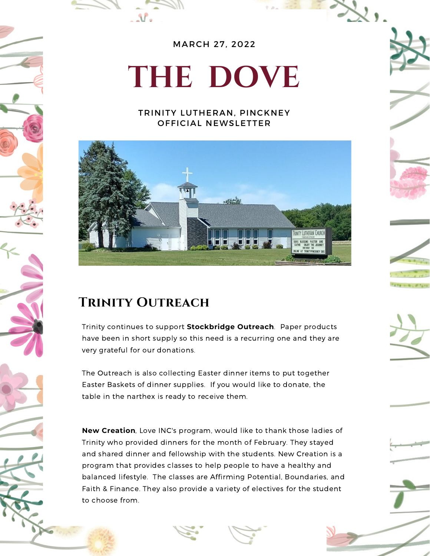

MARCH 27, 2022

# **THE DOVE**

#### TRINITY LUTHERAN, PINCKNEY OFFICIAL NEWSLETTER





 $\mathcal{N}_{\alpha}$ 

Trinity continues to support **Stockbridge Outreach**. Paper products have been in short supply so this need is a recurring one and they are very grateful for our donations.

The Outreach is also collecting Easter dinner items to put together Easter Baskets of dinner supplies. If you would like to donate, the table in the narthex is ready to receive them.

**New Creation**, Love INC's program, would like to thank those ladies of Trinity who provided dinners for the month of February. They stayed and shared dinner and fellowship with the students. New Creation is a program that provides classes to help people to have a healthy and balanced lifestyle. The classes are Affirming Potential, Boundaries, and Faith & Finance. They also provide a variety of electives for the student to choose from.